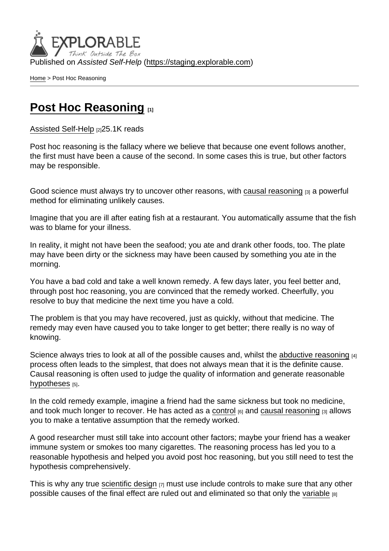Published on Assisted Self-Help [\(https://staging.explorable.com](https://staging.explorable.com))

[Home](https://staging.explorable.com/en) > Post Hoc Reasoning

## [Post Hoc Reasoning](https://staging.explorable.com/en/post-hoc-reasoning) [1]

[Assisted Self-Help](https://staging.explorable.com/en) [2]25.1K reads

Post hoc reasoning is the fallacy where we believe that because one event follows another, the first must have been a cause of the second. In some cases this is true, but other factors may be responsible.

Good science must always try to uncover other reasons, with [causal reasoning](https://staging.explorable.com/causal-reasoning) [3] a powerful method for eliminating unlikely causes.

Imagine that you are ill after eating fish at a restaurant. You automatically assume that the fish was to blame for your illness.

In reality, it might not have been the seafood; you ate and drank other foods, too. The plate may have been dirty or the sickness may have been caused by something you ate in the morning.

You have a bad cold and take a well known remedy. A few days later, you feel better and, through post hoc reasoning, you are convinced that the remedy worked. Cheerfully, you resolve to buy that medicine the next time you have a cold.

The problem is that you may have recovered, just as quickly, without that medicine. The remedy may even have caused you to take longer to get better; there really is no way of knowing.

Science always tries to look at all of the possible causes and, whilst the [abductive reasoning](https://staging.explorable.com/abductive-reasoning) [4] process often leads to the simplest, that does not always mean that it is the definite cause. Causal reasoning is often used to judge the quality of information and generate reasonable [hypotheses](https://staging.explorable.com/research-hypothesis) [5].

In the cold remedy example, imagine a friend had the same sickness but took no medicine, and took much longer to recover. He has acted as a [control](https://staging.explorable.com/case-control-study)  $[6]$  and [causal reasoning](https://staging.explorable.com/causal-reasoning)  $[3]$  allows you to make a tentative assumption that the remedy worked.

A good researcher must still take into account other factors; maybe your friend has a weaker immune system or smokes too many cigarettes. The reasoning process has led you to a reasonable hypothesis and helped you avoid post hoc reasoning, but you still need to test the hypothesis comprehensively.

This is why any true [scientific design](https://staging.explorable.com/research-designs)  $_{[7]}$  must use include controls to make sure that any other possible causes of the final effect are ruled out and eliminated so that only the [variable](https://staging.explorable.com/research-variables) [8]